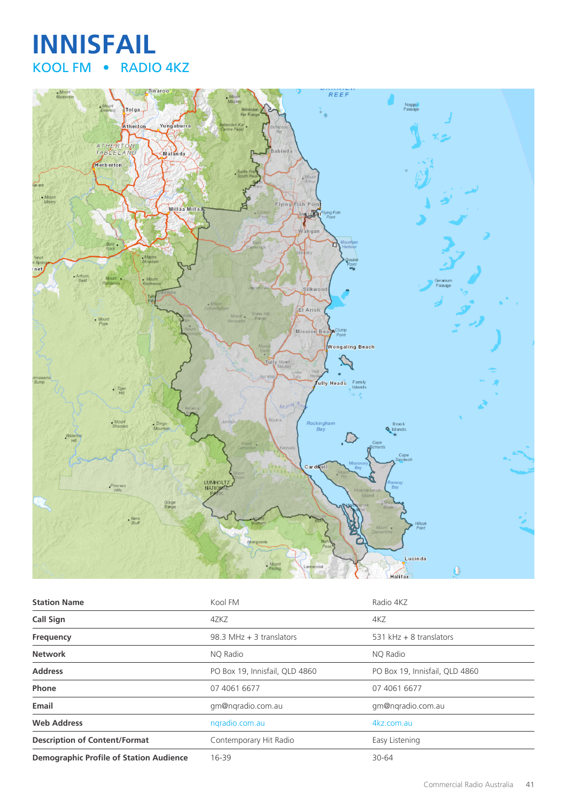# **INNISFAIL** KOOL FM • RADIO 4KZ



| <b>Station Name</b>                            | Kool FM                        | Radio 4KZ                      |
|------------------------------------------------|--------------------------------|--------------------------------|
| <b>Call Sign</b>                               | 4ZKZ                           | 4KZ                            |
| Frequency                                      | 98.3 MHz $+$ 3 translators     | 531 kHz $+$ 8 translators      |
| <b>Network</b>                                 | NO Radio                       | NO Radio                       |
| <b>Address</b>                                 | PO Box 19, Innisfail, QLD 4860 | PO Box 19, Innisfail, QLD 4860 |
| Phone                                          | 07 4061 6677                   | 07 4061 6677                   |
| Email                                          | gm@ngradio.com.au              | gm@nqradio.com.au              |
| <b>Web Address</b>                             | ngradio.com.au                 | 4kz.com.au                     |
| <b>Description of Content/Format</b>           | Contemporary Hit Radio         | Easy Listening                 |
| <b>Demographic Profile of Station Audience</b> | 16-39                          | 30-64                          |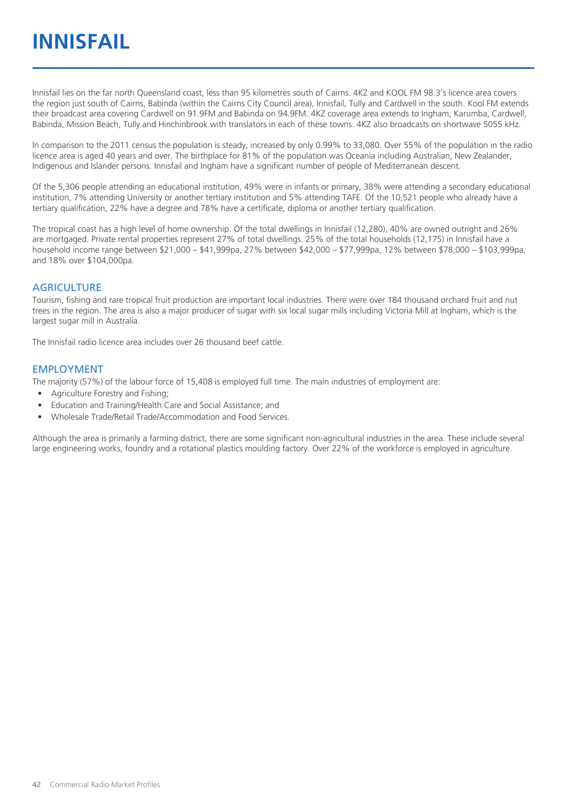Innisfail lies on the far north Queensland coast, less than 95 kilometres south of Cairns. 4KZ and KOOL FM 98.3's licence area covers the region just south of Cairns, Babinda (within the Cairns City Council area), Innisfail, Tully and Cardwell in the south. Kool FM extends their broadcast area covering Cardwell on 91.9FM and Babinda on 94.9FM. 4KZ coverage area extends to Ingham, Karumba, Cardwell, Babinda, Mission Beach, Tully and Hinchinbrook with translators in each of these towns. 4KZ also broadcasts on shortwave 5055 kHz.

In comparison to the 2011 census the population is steady, increased by only 0.99% to 33,080. Over 55% of the population in the radio licence area is aged 40 years and over. The birthplace for 81% of the population was Oceania including Australian, New Zealander, Indigenous and Islander persons. Innisfail and Ingham have a significant number of people of Mediterranean descent.

Of the 5,306 people attending an educational institution, 49% were in infants or primary, 38% were attending a secondary educational institution, 7% attending University or another tertiary institution and 5% attending TAFE. Of the 10,521 people who already have a tertiary qualification, 22% have a degree and 78% have a certificate, diploma or another tertiary qualification.

The tropical coast has a high level of home ownership. Of the total dwellings in Innisfail (12,280), 40% are owned outright and 26% are mortgaged. Private rental properties represent 27% of total dwellings. 25% of the total households (12,175) in Innisfail have a household income range between \$21,000 – \$41,999pa, 27% between \$42,000 – \$77,999pa, 12% between \$78,000 – \$103,999pa, and 18% over \$104,000pa.

#### **AGRICULTURE**

Tourism, fishing and rare tropical fruit production are important local industries. There were over 184 thousand orchard fruit and nut trees in the region. The area is also a major producer of sugar with six local sugar mills including Victoria Mill at Ingham, which is the largest sugar mill in Australia.

The Innisfail radio licence area includes over 26 thousand beef cattle.

#### EMPLOYMENT

The majority (57%) of the labour force of 15,408 is employed full time. The main industries of employment are:

- Agriculture Forestry and Fishing;
- Education and Training/Health Care and Social Assistance; and
- Wholesale Trade/Retail Trade/Accommodation and Food Services.

Although the area is primarily a farming district, there are some significant non-agricultural industries in the area. These include several large engineering works, foundry and a rotational plastics moulding factory. Over 22% of the workforce is employed in agriculture.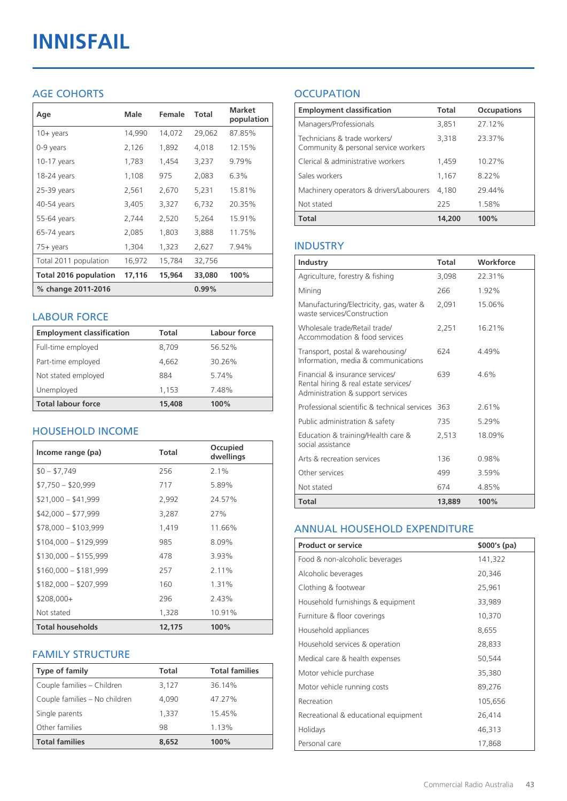# **INNISFAIL**

### AGE COHORTS

| Age                   | Male   | Female | Total    | <b>Market</b><br>population |
|-----------------------|--------|--------|----------|-----------------------------|
| $10 +$ years          | 14,990 | 14,072 | 29,062   | 87.85%                      |
| 0-9 years             | 2,126  | 1,892  | 4,018    | 12.15%                      |
| 10-17 years           | 1,783  | 1,454  | 3,237    | 9.79%                       |
| 18-24 years           | 1,108  | 975    | 2,083    | 6.3%                        |
| 25-39 years           | 2,561  | 2,670  | 5,231    | 15.81%                      |
| 40-54 years           | 3,405  | 3,327  | 6,732    | 20.35%                      |
| 55-64 years           | 2,744  | 2,520  | 5,264    | 15.91%                      |
| 65-74 years           | 2,085  | 1,803  | 3,888    | 11.75%                      |
| 75+ years             | 1,304  | 1,323  | 2,627    | 7.94%                       |
| Total 2011 population | 16,972 | 15,784 | 32,756   |                             |
| Total 2016 population | 17,116 | 15,964 | 33,080   | 100%                        |
| % change 2011-2016    |        |        | $0.99\%$ |                             |

#### LABOUR FORCE

| <b>Employment classification</b> | Total  | Labour force |
|----------------------------------|--------|--------------|
| Full-time employed               | 8,709  | 56.52%       |
| Part-time employed               | 4,662  | 30.26%       |
| Not stated employed              | 884    | 5.74%        |
| Unemployed                       | 1.153  | 7.48%        |
| <b>Total labour force</b>        | 15,408 | 100%         |

#### HOUSEHOLD INCOME

| Income range (pa)       | Total  | Occupied<br>dwellings |
|-------------------------|--------|-----------------------|
| $$0 - $7,749$           | 256    | $2.1\%$               |
| $$7,750 - $20,999$      | 717    | 5.89%                 |
| $$21,000 - $41,999$     | 2,992  | 24.57%                |
| $$42,000 - $77,999$     | 3,287  | 27%                   |
| $$78,000 - $103,999$    | 1,419  | 11.66%                |
| $$104,000 - $129,999$   | 985    | 8.09%                 |
| $$130,000 - $155,999$   | 478    | 3.93%                 |
| $$160,000 - $181,999$   | 257    | 2.11%                 |
| $$182,000 - $207,999$   | 160    | 1.31%                 |
| $$208,000+$             | 296    | 2.43%                 |
| Not stated              | 1,328  | 10.91%                |
| <b>Total households</b> | 12,175 | 100%                  |

#### FAMILY STRUCTURE

| <b>Type of family</b>         | <b>Total</b> | <b>Total families</b> |
|-------------------------------|--------------|-----------------------|
| Couple families - Children    | 3,127        | 36.14%                |
| Couple families - No children | 4.090        | 47.27%                |
| Single parents                | 1.337        | 15.45%                |
| Other families                | 98           | 1.13%                 |
| <b>Total families</b>         | 8,652        | 100%                  |

## **OCCUPATION**

| <b>Employment classification</b>                                     | <b>Total</b> | <b>Occupations</b> |
|----------------------------------------------------------------------|--------------|--------------------|
| Managers/Professionals                                               | 3.851        | 27.12%             |
| Technicians & trade workers/<br>Community & personal service workers | 3,318        | 23.37%             |
| Clerical & administrative workers                                    | 1,459        | 10.27%             |
| Sales workers                                                        | 1,167        | 8.22%              |
| Machinery operators & drivers/Labourers                              | 4.180        | 29.44%             |
| Not stated                                                           | 225          | 1.58%              |
| <b>Total</b>                                                         | 14,200       | 100%               |

#### INDUSTRY

| Industry                                                                                                      | Total  | Workforce |
|---------------------------------------------------------------------------------------------------------------|--------|-----------|
| Agriculture, forestry & fishing                                                                               | 3,098  | 22.31%    |
| Mining                                                                                                        | 266    | 1.92%     |
| Manufacturing/Electricity, gas, water &<br>waste services/Construction                                        | 2,091  | 15.06%    |
| Wholesale trade/Retail trade/<br>Accommodation & food services                                                | 2.251  | 16.21%    |
| Transport, postal & warehousing/<br>Information, media & communications                                       | 624    | 4.49%     |
| Financial & insurance services/<br>Rental hiring & real estate services/<br>Administration & support services | 639    | 4.6%      |
| Professional scientific & technical services                                                                  | 363    | 2.61%     |
| Public administration & safety                                                                                | 735    | 5.29%     |
| Education & training/Health care &<br>social assistance                                                       | 2,513  | 18.09%    |
| Arts & recreation services                                                                                    | 136    | 0.98%     |
| Other services                                                                                                | 499    | 3.59%     |
| Not stated                                                                                                    | 674    | 4.85%     |
| <b>Total</b>                                                                                                  | 13,889 | 100%      |

#### ANNUAL HOUSEHOLD EXPENDITURE

| <b>Product or service</b>            | $$000's$ (pa) |
|--------------------------------------|---------------|
| Food & non-alcoholic beverages       | 141,322       |
| Alcoholic beverages                  | 20,346        |
| Clothing & footwear                  | 25,961        |
| Household furnishings & equipment    | 33,989        |
| Furniture & floor coverings          | 10,370        |
| Household appliances                 | 8,655         |
| Household services & operation       | 28,833        |
| Medical care & health expenses       | 50,544        |
| Motor vehicle purchase               | 35,380        |
| Motor vehicle running costs          | 89,276        |
| Recreation                           | 105,656       |
| Recreational & educational equipment | 26,414        |
| Holidays                             | 46,313        |
| Personal care                        | 17,868        |